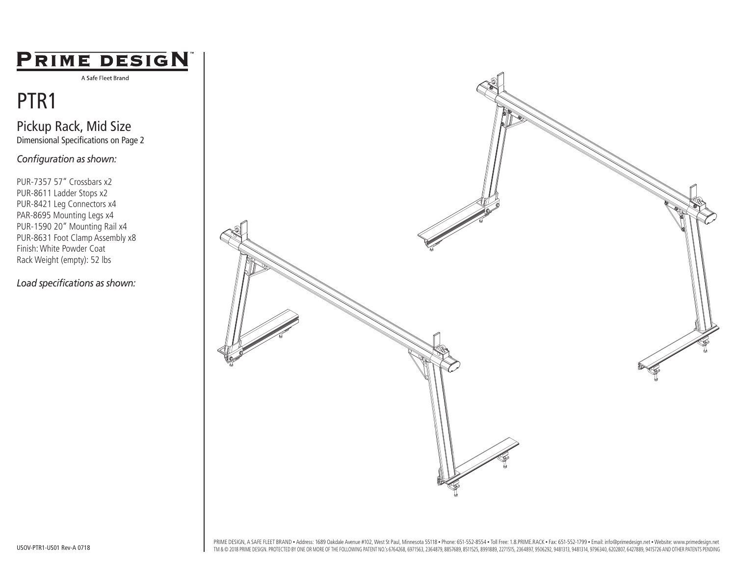### PRIME DESIGN

A Safe Fleet Brand

## PTR1

Pickup Rack, Mid Size Dimensional Specifications on Page 2

*Configuration as shown:*

PUR-7357 57" Crossbars x2 PUR-8611 Ladder Stops x2 PUR-8421 Leg Connectors x4 PAR-8695 Mounting Legs x4 PUR-1590 20" Mounting Rail x4 PUR-8631 Foot Clamp Assembly x8 Finish: White Powder Coat Rack Weight (empty): 52 lbs

*Load specifications as shown:*